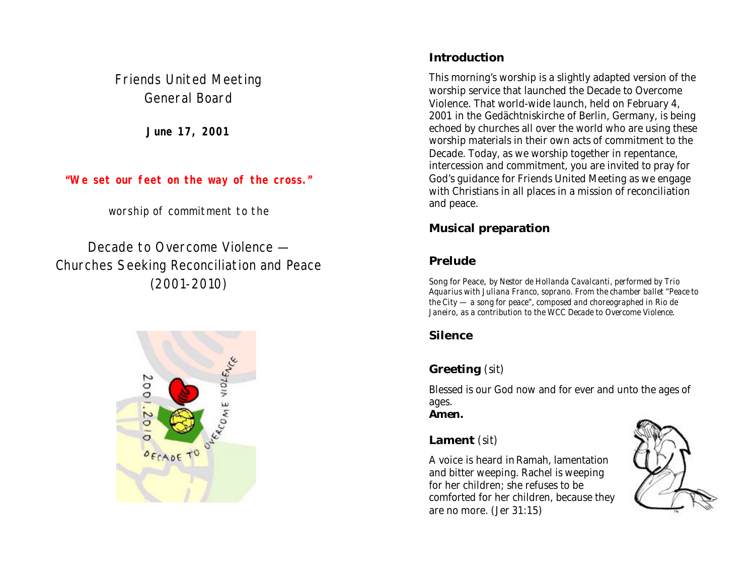Friends United Meeting General Board

**June 17, 2001**

**"We set our feet on the way of the cross."**

worship of commitment to the

Decade to Overcome Violence — Churches Seeking Reconciliation and Peace (2001-2010)



## **Introduction**

This morning's worship is a slightly adapted version of the worship service that launched the Decade to Overcome Violence. That world-wide launch, held on February 4, 2001 in the Gedächtniskirche of Berlin, Germany, is being echoed by churches all over the world who are using these worship materials in their own acts of commitment to the Decade. Today, as we worship together in repentance, intercession and commitment, you are invited to pray for God's guidance for Friends United Meeting as we engage with Christians in all places in a mission of reconciliation and peace.

# **Musical preparation**

# **Prelude**

Song for Peace*, by Nestor de Hollanda Cavalcanti, performed by Trio Aquarius with Juliana Franco, soprano. From the chamber ballet "Peace to the City — a song for peace", composed and choreographed in Rio de Janeiro, as a contribution to the WCC Decade to Overcome Violence.*

# **Silence**

# **Greeting** *(sit)*

Blessed is our God now and for ever and unto the ages of ages.

*Amen.*

## **Lament** *(sit)*

A voice is heard in Ramah, lamentation and bitter weeping. Rachel is weeping for her children; she refuses to be comforted for her children, because they are no more. (Jer 31:15)

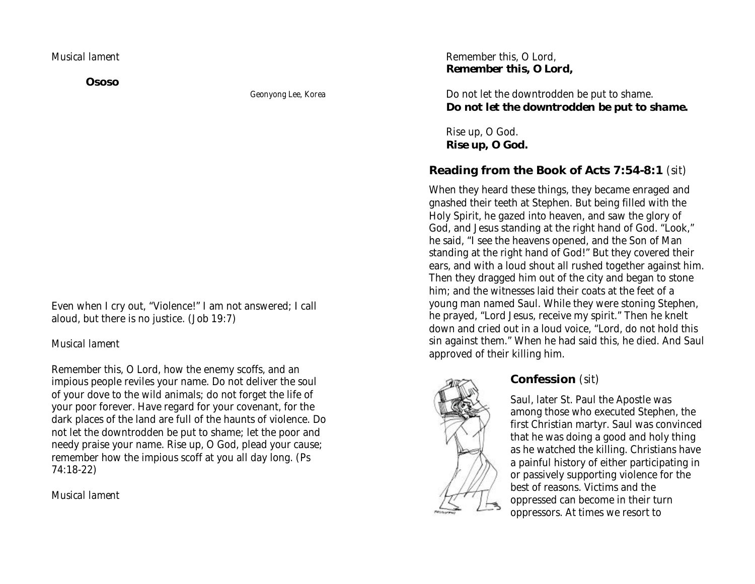#### *Musical lament*

**Ososo**

*Geonyong Lee, Korea*

Even when I cry out, "Violence!" I am not answered; I call aloud, but there is no justice. (Job 19:7)

#### *Musical lament*

Remember this, O Lord, how the enemy scoffs, and an impious people reviles your name. Do not deliver the soul of your dove to the wild animals; do not forget the life of your poor forever. Have regard for your covenant, for the dark places of the land are full of the haunts of violence. Do not let the downtrodden be put to shame; let the poor and needy praise your name. Rise up, O God, plead your cause; remember how the impious scoff at you all day long. (Ps 74:18-22)

*Musical lament*

#### Remember this, O Lord, *Remember this, O Lord,*

Do not let the downtrodden be put to shame. *Do not let the downtrodden be put to shame.*

Rise up, O God. *Rise up, O God.*

## **Reading from the Book of Acts 7:54-8:1** *(sit)*

When they heard these things, they became enraged and gnashed their teeth at Stephen. But being filled with the Holy Spirit, he gazed into heaven, and saw the glory of God, and Jesus standing at the right hand of God. "Look," he said, "I see the heavens opened, and the Son of Man standing at the right hand of God!" But they covered their ears, and with a loud shout all rushed together against him. Then they dragged him out of the city and began to stone him; and the witnesses laid their coats at the feet of a young man named Saul. While they were stoning Stephen, he prayed, "Lord Jesus, receive my spirit." Then he knelt down and cried out in a loud voice, "Lord, do not hold this sin against them." When he had said this, he died. And Saul approved of their killing him.



## **Confession** *(sit)*

Saul, later St. Paul the Apostle was among those who executed Stephen, the first Christian martyr. Saul was convinced that he was doing a good and holy thing as he watched the killing. Christians have a painful history of either participating in or passively supporting violence for the best of reasons. Victims and the oppressed can become in their turn oppressors. At times we resort to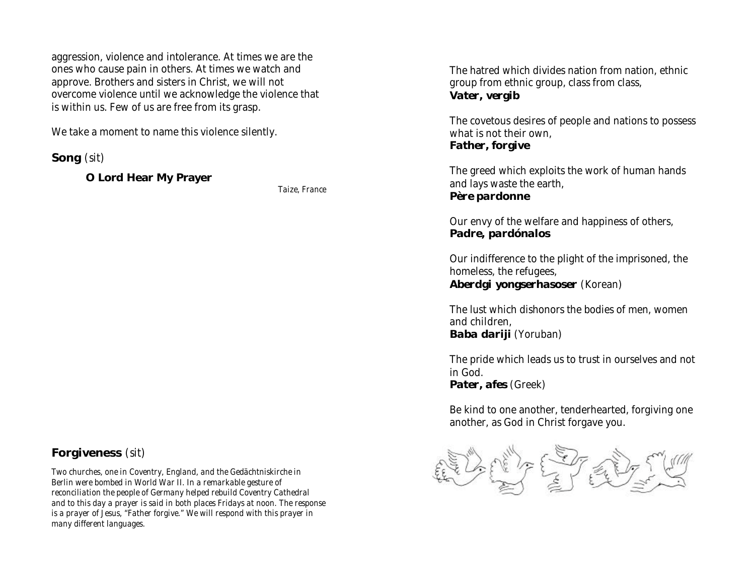aggression, violence and intolerance. At times we are the ones who cause pain in others. At times we watch and approve. Brothers and sisters in Christ, we will not overcome violence until we acknowledge the violence that is within us. Few of us are free from its grasp.

We take a moment to name this violence silently.

**Song** *(sit)*

**O Lord Hear My Prayer**

*Taize, France*

#### The hatred which divides nation from nation, ethnic group from ethnic group, class from class, *Vater, vergib*

The covetous desires of people and nations to possess what is not their own, *Father, forgive*

The greed which exploits the work of human hands and lays waste the earth, *Père pardonne*

Our envy of the welfare and happiness of others, *Padre, pardónalos*

Our indifference to the plight of the imprisoned, the homeless, the refugees, *Aberdgi yongserhasoser* (Korean)

The lust which dishonors the bodies of men, women and children, *Baba dariji* (Yoruban)

The pride which leads us to trust in ourselves and not in God. *Pater, afes* (Greek)

Be kind to one another, tenderhearted, forgiving one another, as God in Christ forgave you.



### **Forgiveness** *(sit)*

*Two churches, one in Coventry, England, and the Gedächtniskirche in Berlin were bombed in World War II. In a remarkable gesture of reconciliation the people of Germany helped rebuild Coventry Cathedral and to this day a prayer is said in both places Fridays at noon. The response is a prayer of Jesus, "Father forgive." We will respond with this prayer in many different languages.*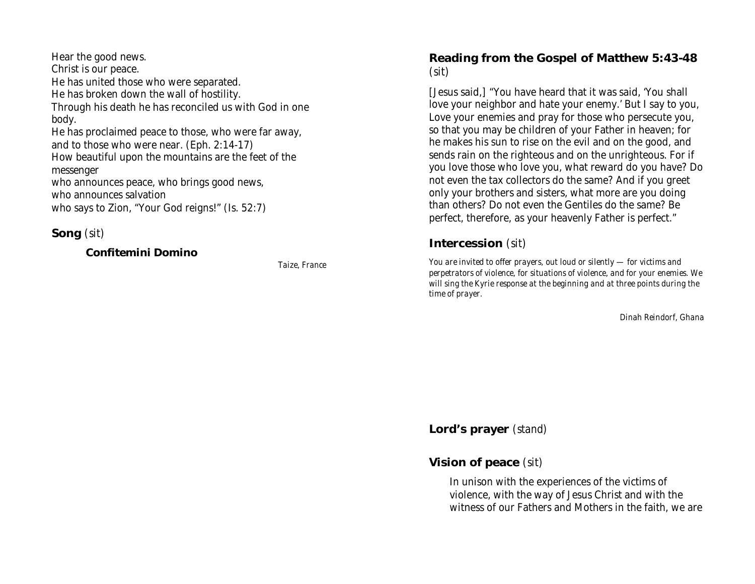Hear the good news. Christ is our peace. He has united those who were separated. He has broken down the wall of hostility. Through his death he has reconciled us with God in one body. He has proclaimed peace to those, who were far away, and to those who were near. (Eph. 2:14-17) How beautiful upon the mountains are the feet of the messenger who announces peace, who brings good news, who announces salvation who says to Zion, "Your God reigns!" (Is. 52:7)

#### **Song** *(sit)*

#### **Confitemini Domino**

*Taize, France*

### **Reading from the Gospel of Matthew 5:43-48** *(sit)*

[Jesus said,] "You have heard that it was said, 'You shall love your neighbor and hate your enemy.' But I say to you, Love your enemies and pray for those who persecute you, so that you may be children of your Father in heaven; for he makes his sun to rise on the evil and on the good, and sends rain on the righteous and on the unrighteous. For if you love those who love you, what reward do you have? Do not even the tax collectors do the same? And if you greet only your brothers and sisters, what more are you doing than others? Do not even the Gentiles do the same? Be perfect, therefore, as your heavenly Father is perfect."

## **Intercession** *(sit)*

*You are invited to offer prayers, out loud or silently — for victims and perpetrators of violence, for situations of violence, and for your enemies. We will sing the Kyrie response at the beginning and at three points during the time of prayer.*

*Dinah Reindorf, Ghana*

**Lord's prayer** *(stand)*

### **Vision of peace** *(sit)*

In unison with the experiences of the victims of violence, with the way of Jesus Christ and with the witness of our Fathers and Mothers in the faith, we are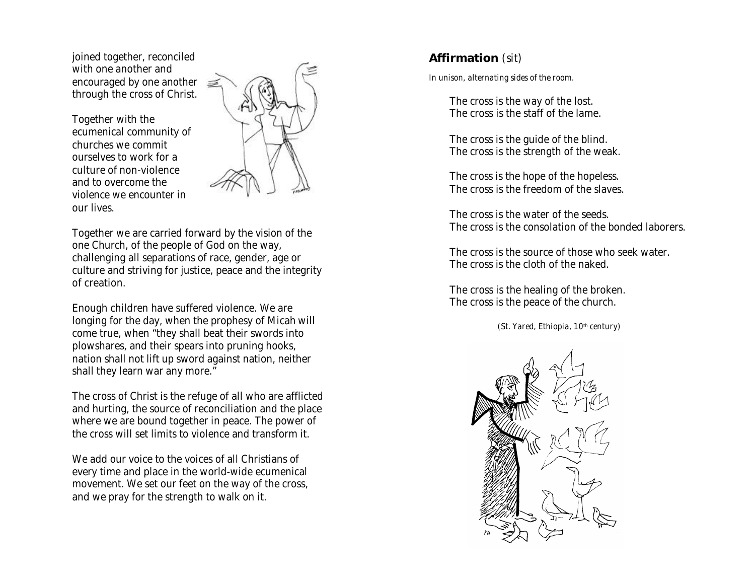joined together, reconciled with one another and encouraged by one another  $\equiv$ through the cross of Christ.

Together with the ecumenical community of churches we commit ourselves to work for a culture of non-violence and to overcome the violence we encounter in our lives.



Together we are carried forward by the vision of the one Church, of the people of God on the way, challenging all separations of race, gender, age or culture and striving for justice, peace and the integrity of creation.

Enough children have suffered violence. We are longing for the day, when the prophesy of Micah will come true, when "they shall beat their swords into plowshares, and their spears into pruning hooks, nation shall not lift up sword against nation, neither shall they learn war any more."

The cross of Christ is the refuge of all who are afflicted and hurting, the source of reconciliation and the place where we are bound together in peace. The power of the cross will set limits to violence and transform it.

We add our voice to the voices of all Christians of every time and place in the world-wide ecumenical movement. We set our feet on the way of the cross, and we pray for the strength to walk on it.

## **Affirmation** *(sit)*

*In unison, alternating sides of the room.*

The cross is the way of the lost. The cross is the staff of the lame.

The cross is the guide of the blind. The cross is the strength of the weak.

The cross is the hope of the hopeless. The cross is the freedom of the slaves.

The cross is the water of the seeds. The cross is the consolation of the bonded laborers.

The cross is the source of those who seek water. The cross is the cloth of the naked.

The cross is the healing of the broken. The cross is the peace of the church.

*(St. Yared, Ethiopia, 10th century)*

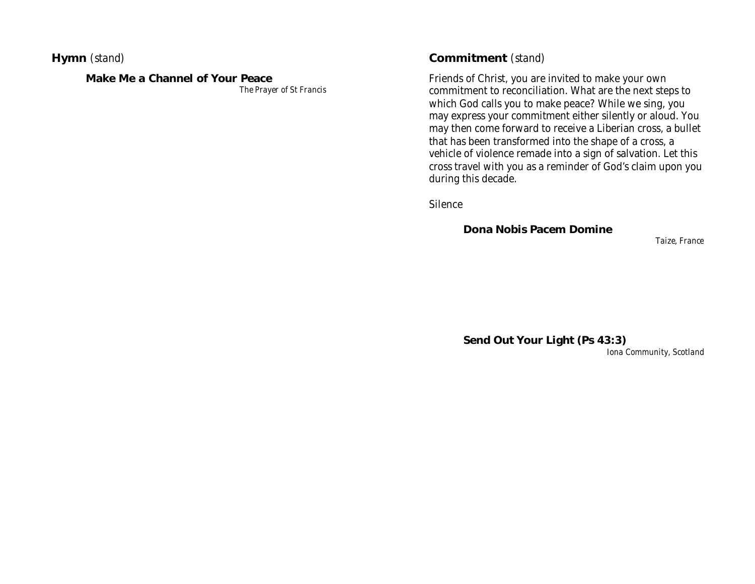**Hymn** *(stand)*

#### **Make Me a Channel of Your Peace**

*The Prayer of St Francis*

#### **Commitment** *(stand)*

Friends of Christ, you are invited to make your own commitment to reconciliation. What are the next steps to which God calls you to make peace? While we sing, you may express your commitment either silently or aloud. You may then come forward to receive a Liberian cross, a bullet that has been transformed into the shape of a cross, a vehicle of violence remade into a sign of salvation. Let this cross travel with you as a reminder of God's claim upon you during this decade.

Silence

**Dona Nobis Pacem Domine**

*Taize, France*

**Send Out Your Light (Ps 43:3)**

*Iona Community, Scotland*